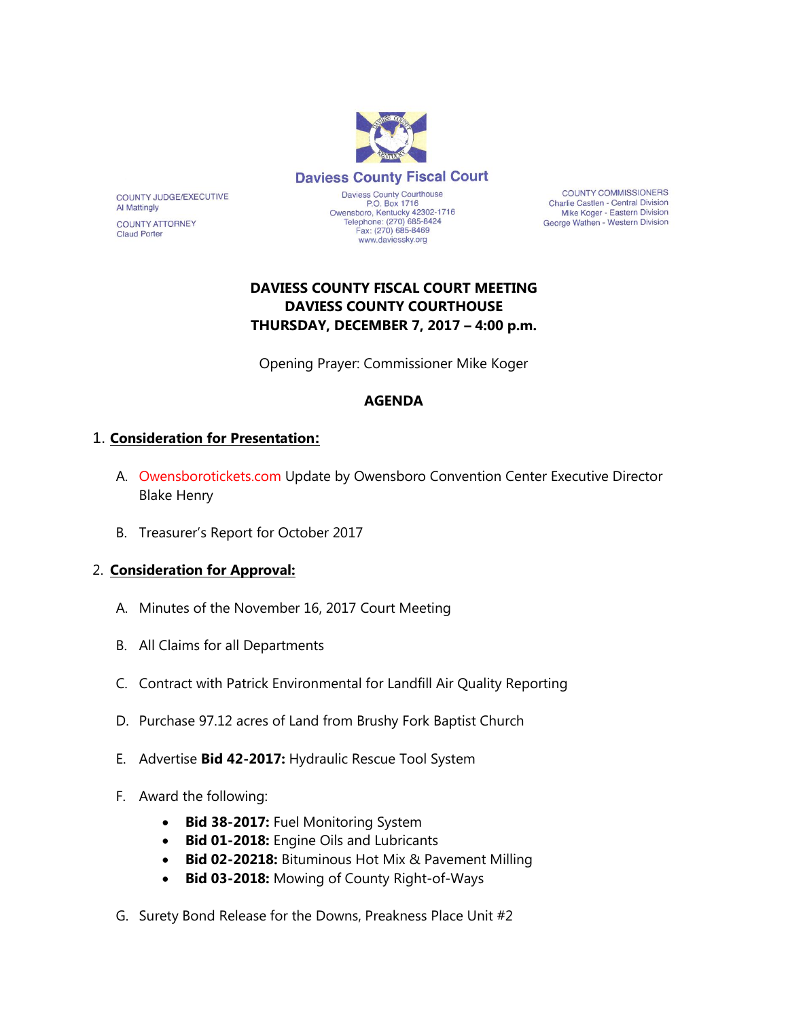

**COUNTY COMMISSIONERS** Charlie Castlen - Central Division Mike Koger - Eastern Division George Wathen - Western Division

# **DAVIESS COUNTY FISCAL COURT MEETING DAVIESS COUNTY COURTHOUSE THURSDAY, DECEMBER 7, 2017 – 4:00 p.m.**

Opening Prayer: Commissioner Mike Koger

### **AGENDA**

### 1. **Consideration for Presentation:**

COUNTY JUDGE/EXECUTIVE

**COUNTY ATTORNEY** 

**Al Mattingly** 

**Claud Porter** 

- A. Owensborotickets.com Update by Owensboro Convention Center Executive Director Blake Henry
- B. Treasurer's Report for October 2017

### 2. **Consideration for Approval:**

- A. Minutes of the November 16, 2017 Court Meeting
- B. All Claims for all Departments
- C. Contract with Patrick Environmental for Landfill Air Quality Reporting
- D. Purchase 97.12 acres of Land from Brushy Fork Baptist Church
- E. Advertise **Bid 42-2017:** Hydraulic Rescue Tool System
- F. Award the following:
	- **Bid 38-2017:** Fuel Monitoring System
	- **Bid 01-2018:** Engine Oils and Lubricants
	- **Bid 02-20218:** Bituminous Hot Mix & Pavement Milling
	- **Bid 03-2018:** Mowing of County Right-of-Ways
- G. Surety Bond Release for the Downs, Preakness Place Unit #2